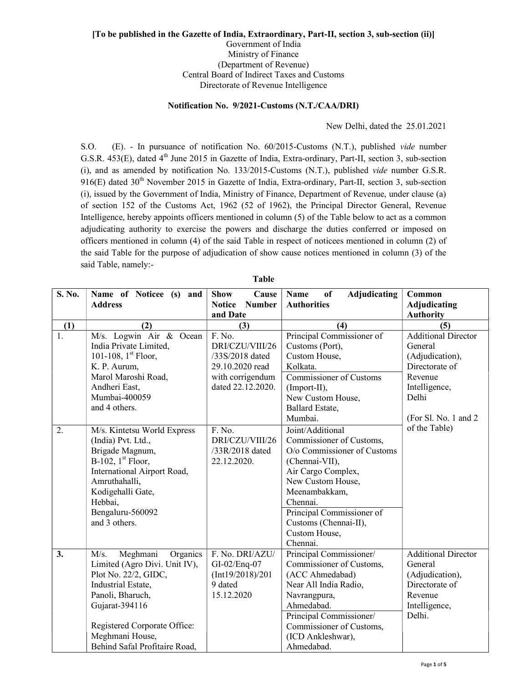## [To be published in the Gazette of India, Extraordinary, Part-II, section 3, sub-section (ii)] Government of India Ministry of Finance (Department of Revenue) Central Board of Indirect Taxes and Customs

Directorate of Revenue Intelligence

## Notification No. 9/2021-Customs (N.T./CAA/DRI)

New Delhi, dated the 25.01.2021

S.O. (E). - In pursuance of notification No. 60/2015-Customs (N.T.), published vide number G.S.R. 453(E), dated 4<sup>th</sup> June 2015 in Gazette of India, Extra-ordinary, Part-II, section 3, sub-section (i), and as amended by notification No. 133/2015-Customs (N.T.), published vide number G.S.R.  $916(E)$  dated  $30<sup>th</sup>$  November 2015 in Gazette of India, Extra-ordinary, Part-II, section 3, sub-section (i), issued by the Government of India, Ministry of Finance, Department of Revenue, under clause (a) of section 152 of the Customs Act, 1962 (52 of 1962), the Principal Director General, Revenue Intelligence, hereby appoints officers mentioned in column (5) of the Table below to act as a common adjudicating authority to exercise the powers and discharge the duties conferred or imposed on officers mentioned in column (4) of the said Table in respect of noticees mentioned in column (2) of the said Table for the purpose of adjudication of show cause notices mentioned in column (3) of the said Table, namely:-

| S. No. | Name of Noticee (s) and<br><b>Address</b>                                                                                                                                                                                             | Cause<br><b>Show</b><br><b>Number</b><br><b>Notice</b>                                                   | <b>Adjudicating</b><br>Name<br>of<br><b>Authorities</b>                                                                                                                                                                                                  | Common<br><b>Adjudicating</b>                                                                                                            |
|--------|---------------------------------------------------------------------------------------------------------------------------------------------------------------------------------------------------------------------------------------|----------------------------------------------------------------------------------------------------------|----------------------------------------------------------------------------------------------------------------------------------------------------------------------------------------------------------------------------------------------------------|------------------------------------------------------------------------------------------------------------------------------------------|
|        |                                                                                                                                                                                                                                       | and Date                                                                                                 |                                                                                                                                                                                                                                                          | <b>Authority</b>                                                                                                                         |
| (1)    | (2)                                                                                                                                                                                                                                   | (3)                                                                                                      | (4)                                                                                                                                                                                                                                                      | (5)                                                                                                                                      |
| 1.     | M/s. Logwin Air & Ocean<br>India Private Limited,<br>101-108, $1st$ Floor,<br>K. P. Aurum,<br>Marol Maroshi Road,<br>Andheri East,<br>Mumbai-400059<br>and 4 others.                                                                  | F. No.<br>DRI/CZU/VIII/26<br>/33S/2018 dated<br>29.10.2020 read<br>with corrigendum<br>dated 22.12.2020. | Principal Commissioner of<br>Customs (Port),<br>Custom House,<br>Kolkata.<br>Commissioner of Customs<br>(Import-II),<br>New Custom House,<br>Ballard Estate,<br>Mumbai.                                                                                  | <b>Additional Director</b><br>General<br>(Adjudication),<br>Directorate of<br>Revenue<br>Intelligence,<br>Delhi<br>(For Sl. No. 1 and 2) |
| 2.     | M/s. Kintetsu World Express<br>(India) Pvt. Ltd.,<br>Brigade Magnum,<br>B-102, $1st$ Floor,<br>International Airport Road,<br>Amruthahalli,<br>Kodigehalli Gate,<br>Hebbai,<br>Bengaluru-560092<br>and 3 others.                      | F. No.<br>DRI/CZU/VIII/26<br>/33R/2018 dated<br>22.12.2020.                                              | Joint/Additional<br>Commissioner of Customs,<br>O/o Commissioner of Customs<br>(Chennai-VII),<br>Air Cargo Complex,<br>New Custom House,<br>Meenambakkam,<br>Chennai.<br>Principal Commissioner of<br>Customs (Chennai-II),<br>Custom House,<br>Chennai. | of the Table)                                                                                                                            |
| 3.     | M/s.<br>Meghmani<br>Organics<br>Limited (Agro Divi. Unit IV),<br>Plot No. 22/2, GIDC,<br>Industrial Estate,<br>Panoli, Bharuch,<br>Gujarat-394116<br>Registered Corporate Office:<br>Meghmani House,<br>Behind Safal Profitaire Road, | F. No. DRI/AZU/<br>GI-02/Enq-07<br>(Int19/2018)/201<br>9 dated<br>15.12.2020                             | Principal Commissioner/<br>Commissioner of Customs,<br>(ACC Ahmedabad)<br>Near All India Radio,<br>Navrangpura,<br>Ahmedabad.<br>Principal Commissioner/<br>Commissioner of Customs,<br>(ICD Ankleshwar),<br>Ahmedabad.                                  | <b>Additional Director</b><br>General<br>(Adjudication),<br>Directorate of<br>Revenue<br>Intelligence,<br>Delhi.                         |

Table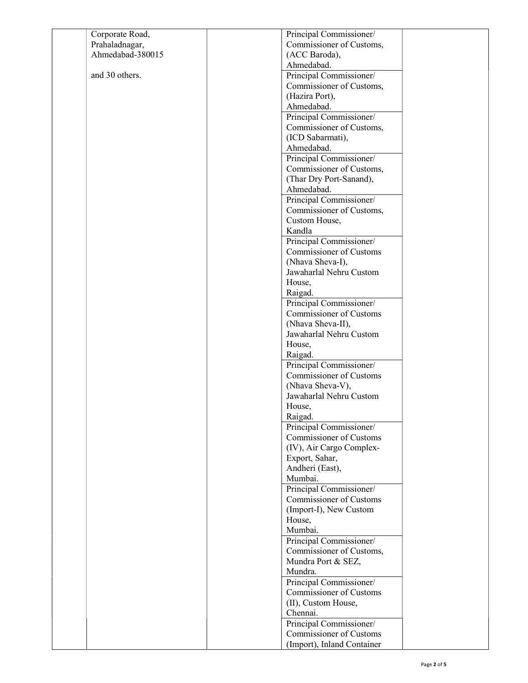| Corporate Road,  | Principal Commissioner/        |  |
|------------------|--------------------------------|--|
| Prahaladnagar,   | Commissioner of Customs,       |  |
| Ahmedabad-380015 | (ACC Baroda),                  |  |
|                  | Ahmedabad.                     |  |
| and 30 others.   | Principal Commissioner/        |  |
|                  | Commissioner of Customs,       |  |
|                  | (Hazira Port),                 |  |
|                  | Ahmedabad.                     |  |
|                  | Principal Commissioner/        |  |
|                  | Commissioner of Customs,       |  |
|                  | (ICD Sabarmati),               |  |
|                  | Ahmedabad.                     |  |
|                  | Principal Commissioner/        |  |
|                  | Commissioner of Customs,       |  |
|                  | (Thar Dry Port-Sanand),        |  |
|                  | Ahmedabad.                     |  |
|                  | Principal Commissioner/        |  |
|                  | Commissioner of Customs,       |  |
|                  | Custom House,                  |  |
|                  | Kandla                         |  |
|                  | Principal Commissioner/        |  |
|                  | <b>Commissioner of Customs</b> |  |
|                  | (Nhava Sheva-I),               |  |
|                  | Jawaharlal Nehru Custom        |  |
|                  | House,                         |  |
|                  | Raigad.                        |  |
|                  | Principal Commissioner/        |  |
|                  | <b>Commissioner of Customs</b> |  |
|                  | (Nhava Sheva-II),              |  |
|                  | Jawaharlal Nehru Custom        |  |
|                  | House,                         |  |
|                  | Raigad.                        |  |
|                  | Principal Commissioner/        |  |
|                  | Commissioner of Customs        |  |
|                  | (Nhava Sheva-V),               |  |
|                  | Jawaharlal Nehru Custom        |  |
|                  | House,                         |  |
|                  | Raigad.                        |  |
|                  | Principal Commissioner/        |  |
|                  | <b>Commissioner of Customs</b> |  |
|                  | (IV), Air Cargo Complex-       |  |
|                  | Export, Sahar,                 |  |
|                  | Andheri (East),                |  |
|                  | Mumbai.                        |  |
|                  | Principal Commissioner/        |  |
|                  | <b>Commissioner of Customs</b> |  |
|                  | (Import-I), New Custom         |  |
|                  | House,                         |  |
|                  | Mumbai.                        |  |
|                  | Principal Commissioner/        |  |
|                  | Commissioner of Customs,       |  |
|                  | Mundra Port & SEZ,             |  |
|                  | Mundra.                        |  |
|                  | Principal Commissioner/        |  |
|                  | Commissioner of Customs        |  |
|                  | (II), Custom House,            |  |
|                  | Chennai.                       |  |
|                  | Principal Commissioner/        |  |
|                  | <b>Commissioner of Customs</b> |  |
|                  | (Import), Inland Container     |  |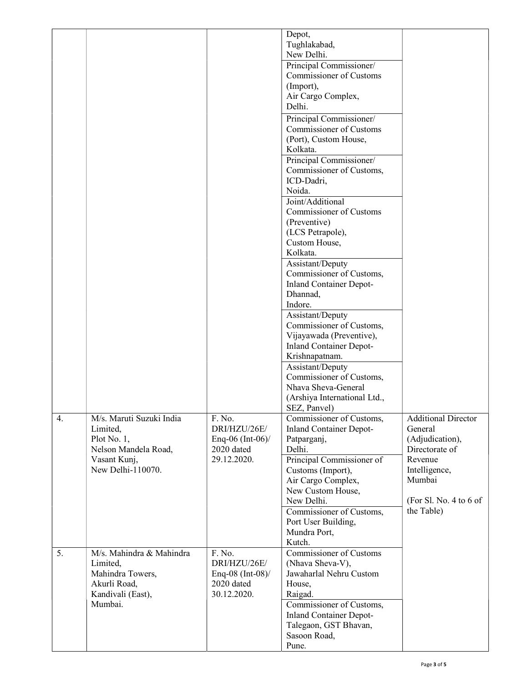|    |                          |                    | Depot,                         |                            |
|----|--------------------------|--------------------|--------------------------------|----------------------------|
|    |                          |                    | Tughlakabad,                   |                            |
|    |                          |                    | New Delhi.                     |                            |
|    |                          |                    | Principal Commissioner/        |                            |
|    |                          |                    | <b>Commissioner of Customs</b> |                            |
|    |                          |                    | (Import),                      |                            |
|    |                          |                    | Air Cargo Complex,             |                            |
|    |                          |                    | Delhi.                         |                            |
|    |                          |                    | Principal Commissioner/        |                            |
|    |                          |                    | <b>Commissioner of Customs</b> |                            |
|    |                          |                    | (Port), Custom House,          |                            |
|    |                          |                    | Kolkata.                       |                            |
|    |                          |                    | Principal Commissioner/        |                            |
|    |                          |                    | Commissioner of Customs,       |                            |
|    |                          |                    | ICD-Dadri,                     |                            |
|    |                          |                    | Noida.                         |                            |
|    |                          |                    | Joint/Additional               |                            |
|    |                          |                    | Commissioner of Customs        |                            |
|    |                          |                    | (Preventive)                   |                            |
|    |                          |                    | (LCS Petrapole),               |                            |
|    |                          |                    | Custom House,                  |                            |
|    |                          |                    | Kolkata.                       |                            |
|    |                          |                    | Assistant/Deputy               |                            |
|    |                          |                    | Commissioner of Customs,       |                            |
|    |                          |                    | <b>Inland Container Depot-</b> |                            |
|    |                          |                    | Dhannad,                       |                            |
|    |                          |                    | Indore.                        |                            |
|    |                          |                    | Assistant/Deputy               |                            |
|    |                          |                    | Commissioner of Customs,       |                            |
|    |                          |                    | Vijayawada (Preventive),       |                            |
|    |                          |                    | <b>Inland Container Depot-</b> |                            |
|    |                          |                    | Krishnapatnam.                 |                            |
|    |                          |                    | Assistant/Deputy               |                            |
|    |                          |                    | Commissioner of Customs,       |                            |
|    |                          |                    | Nhava Sheva-General            |                            |
|    |                          |                    | (Arshiya International Ltd.,   |                            |
|    |                          |                    | SEZ, Panvel)                   |                            |
| 4. | M/s. Maruti Suzuki India | F. No.             | Commissioner of Customs,       | <b>Additional Director</b> |
|    | Limited,                 | DRI/HZU/26E/       | <b>Inland Container Depot-</b> | General                    |
|    | Plot No. 1,              | Enq-06 (Int-06)/   | Patparganj,                    | (Adjudication),            |
|    | Nelson Mandela Road,     | 2020 dated         | Delhi.                         | Directorate of             |
|    | Vasant Kunj,             | 29.12.2020.        | Principal Commissioner of      | Revenue                    |
|    | New Delhi-110070.        |                    | Customs (Import),              | Intelligence,              |
|    |                          |                    | Air Cargo Complex,             | Mumbai                     |
|    |                          |                    | New Custom House,              |                            |
|    |                          |                    | New Delhi.                     | (For Sl. No. 4 to 6 of     |
|    |                          |                    | Commissioner of Customs,       | the Table)                 |
|    |                          |                    | Port User Building,            |                            |
|    |                          |                    | Mundra Port,                   |                            |
|    |                          |                    | Kutch.                         |                            |
| 5. | M/s. Mahindra & Mahindra | F. No.             | <b>Commissioner of Customs</b> |                            |
|    | Limited,                 | DRI/HZU/26E/       | (Nhava Sheva-V),               |                            |
|    | Mahindra Towers,         | Enq-08 $(Int-08)/$ | Jawaharlal Nehru Custom        |                            |
|    | Akurli Road,             | 2020 dated         | House,                         |                            |
|    | Kandivali (East),        | 30.12.2020.        | Raigad.                        |                            |
|    | Mumbai.                  |                    | Commissioner of Customs,       |                            |
|    |                          |                    | <b>Inland Container Depot-</b> |                            |
|    |                          |                    | Talegaon, GST Bhavan,          |                            |
|    |                          |                    | Sasoon Road,                   |                            |
|    |                          |                    | Pune.                          |                            |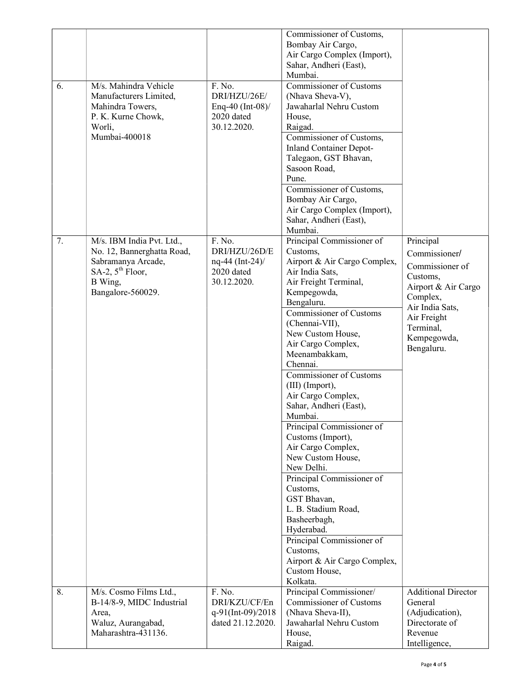| 6. | M/s. Mahindra Vehicle<br>Manufacturers Limited,<br>Mahindra Towers,<br>P. K. Kurne Chowk,<br>Worli,<br>Mumbai-400018                          | F. No.<br>DRI/HZU/26E/<br>Enq-40 (Int-08)/<br>2020 dated<br>30.12.2020.   | Commissioner of Customs,<br>Bombay Air Cargo,<br>Air Cargo Complex (Import),<br>Sahar, Andheri (East),<br>Mumbai.<br><b>Commissioner of Customs</b><br>(Nhava Sheva-V),<br>Jawaharlal Nehru Custom<br>House,<br>Raigad.<br>Commissioner of Customs,<br><b>Inland Container Depot-</b><br>Talegaon, GST Bhavan,<br>Sasoon Road,<br>Pune.<br>Commissioner of Customs,<br>Bombay Air Cargo,<br>Air Cargo Complex (Import),<br>Sahar, Andheri (East),<br>Mumbai.                                                                                                                                                                                                                                                      |                                                                                                                                                                          |
|----|-----------------------------------------------------------------------------------------------------------------------------------------------|---------------------------------------------------------------------------|-------------------------------------------------------------------------------------------------------------------------------------------------------------------------------------------------------------------------------------------------------------------------------------------------------------------------------------------------------------------------------------------------------------------------------------------------------------------------------------------------------------------------------------------------------------------------------------------------------------------------------------------------------------------------------------------------------------------|--------------------------------------------------------------------------------------------------------------------------------------------------------------------------|
| 7. | M/s. IBM India Pvt. Ltd.,<br>No. 12, Bannerghatta Road,<br>Sabramanya Arcade,<br>SA-2, $5^{\text{th}}$ Floor,<br>B Wing,<br>Bangalore-560029. | F. No.<br>DRI/HZU/26D/E<br>$nq-44$ (Int-24)/<br>2020 dated<br>30.12.2020. | Principal Commissioner of<br>Customs,<br>Airport & Air Cargo Complex,<br>Air India Sats,<br>Air Freight Terminal,<br>Kempegowda,<br>Bengaluru.<br>Commissioner of Customs<br>(Chennai-VII),<br>New Custom House,<br>Air Cargo Complex,<br>Meenambakkam,<br>Chennai.<br><b>Commissioner of Customs</b><br>(III) (Import),<br>Air Cargo Complex,<br>Sahar, Andheri (East),<br>Mumbai.<br>Principal Commissioner of<br>Customs (Import),<br>Air Cargo Complex,<br>New Custom House,<br>New Delhi.<br>Principal Commissioner of<br>Customs,<br>GST Bhavan,<br>L. B. Stadium Road,<br>Basheerbagh,<br>Hyderabad.<br>Principal Commissioner of<br>Customs,<br>Airport & Air Cargo Complex,<br>Custom House,<br>Kolkata. | Principal<br>Commissioner/<br>Commissioner of<br>Customs,<br>Airport & Air Cargo<br>Complex,<br>Air India Sats,<br>Air Freight<br>Terminal,<br>Kempegowda,<br>Bengaluru. |
| 8. | M/s. Cosmo Films Ltd.,<br>B-14/8-9, MIDC Industrial<br>Area,<br>Waluz, Aurangabad,<br>Maharashtra-431136.                                     | F. No.<br>DRI/KZU/CF/En<br>q-91(Int-09)/2018<br>dated 21.12.2020.         | Principal Commissioner/<br><b>Commissioner of Customs</b><br>(Nhava Sheva-II),<br>Jawaharlal Nehru Custom<br>House,<br>Raigad.                                                                                                                                                                                                                                                                                                                                                                                                                                                                                                                                                                                    | <b>Additional Director</b><br>General<br>(Adjudication),<br>Directorate of<br>Revenue<br>Intelligence,                                                                   |